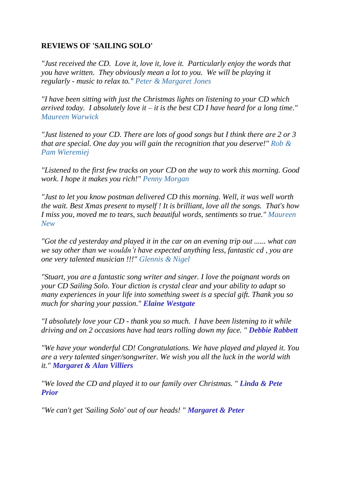## **REVIEWS OF 'SAILING SOLO'**

*"Just received the CD. Love it, love it, love it. Particularly enjoy the words that you have written. They obviously mean a lot to you. We will be playing it regularly - music to relax to." Peter & Margaret Jones*

*"I have been sitting with just the Christmas lights on listening to your CD which arrived today. I absolutely love it – it is the best CD I have heard for a long time." Maureen Warwick*

*"Just listened to your CD. There are lots of good songs but I think there are 2 or 3 that are special. One day you will gain the recognition that you deserve!" Rob & Pam Wieremiej*

*"Listened to the first few tracks on your CD on the way to work this morning. Good work. I hope it makes you rich!" Penny Morgan*

*"Just to let you know postman delivered CD this morning. Well, it was well worth the wait. Best Xmas present to myself ! It is brilliant, love all the songs. That's how I miss you, moved me to tears, such beautiful words, sentiments so true." Maureen New*

*"Got the cd yesterday and played it in the car on an evening trip out ...... what can we say other than we wouldn't have expected anything less, fantastic cd , you are one very talented musician !!!" Glennis & Nigel*

*"Stuart, you are a fantastic song writer and singer. I love the poignant words on your CD Sailing Solo. Your diction is crystal clear and your ability to adapt so many experiences in your life into something sweet is a special gift. Thank you so much for sharing your passion." Elaine Westgate*

*"I absolutely love your CD - thank you so much. I have been listening to it while driving and on 2 occasions have had tears rolling down my face. " Debbie Rabbett*

*"We have your wonderful CD! Congratulations. We have played and played it. You are a very talented singer/songwriter. We wish you all the luck in the world with it." Margaret & Alan Villiers*

*"We loved the CD and played it to our family over Christmas. " Linda & Pete Prior*

*"We can't get 'Sailing Solo' out of our heads! " Margaret & Peter*